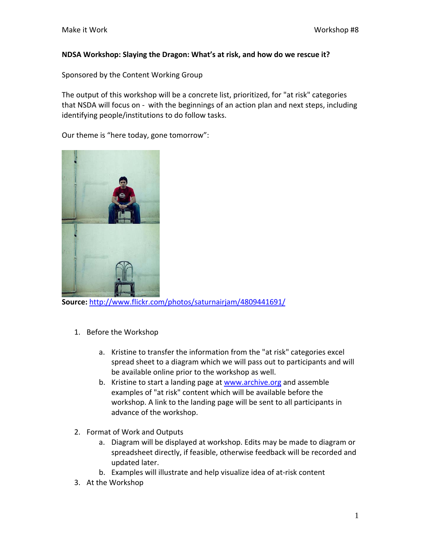## **NDSA Workshop: Slaying the Dragon: What's at risk, and how do we rescue it?**

Sponsored by the Content Working Group

The output of this workshop will be a concrete list, prioritized, for "at risk" categories that NSDA will focus on ‐ with the beginnings of an action plan and next steps, including identifying people/institutions to do follow tasks.

Our theme is "here today, gone tomorrow":



**Source:** <http://www.flickr.com/photos/saturnairjam/4809441691/>

- 1. Before the Workshop
	- a. Kristine to transfer the information from the "at risk" categories excel spread sheet to a diagram which we will pass out to participants and will be available online prior to the workshop as well.
	- b. Kristine to start a landing page at [www.archive.org](http://www.archive.org/) and assemble examples of "at risk" content which will be available before the workshop. A link to the landing page will be sent to all participants in advance of the workshop.
- 2. Format of Work and Outputs
	- a. Diagram will be displayed at workshop. Edits may be made to diagram or spreadsheet directly, if feasible, otherwise feedback will be recorded and updated later.
	- b. Examples will illustrate and help visualize idea of at‐risk content
- 3. At the Workshop